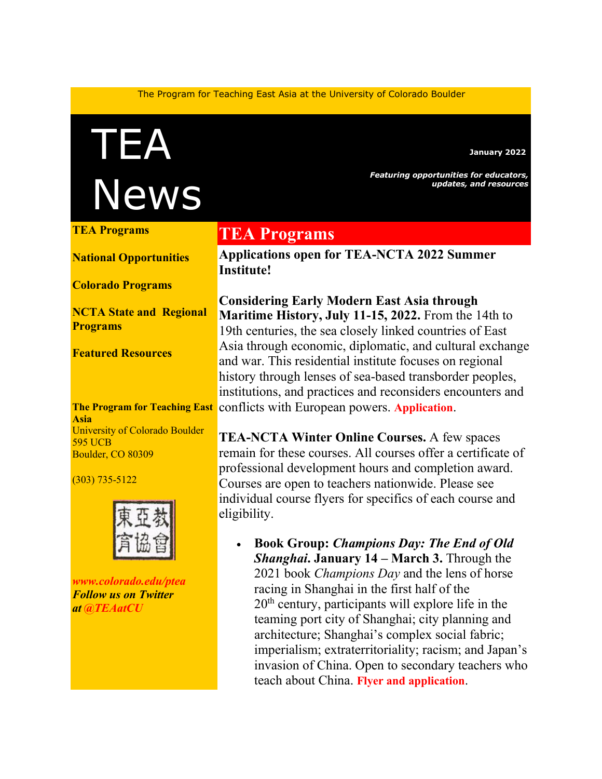The Program for Teaching East Asia at the University of Colorado Boulder

TEA News

*Featuring opportunities for educators,*

**January 2022**

*updates, and resources*

**[TEA Programs](https://mailchi.mp/colorado/august-e-news-from-tea-a0o1xsr1fr-7943261#TEAprog)**

**[National Opportunities](https://mailchi.mp/colorado/august-e-news-from-tea-a0o1xsr1fr-7943261#natl)**

**[Colorado Programs](https://mailchi.mp/colorado/august-e-news-from-tea-a0o1xsr1fr-7943261#colo)**

**[NCTA State and](https://mailchi.mp/colorado/august-e-news-from-tea-a0o1xsr1fr-7943261#local) Regional [Programs](https://mailchi.mp/colorado/august-e-news-from-tea-a0o1xsr1fr-7943261#local)**

**[Featured Resources](https://mailchi.mp/colorado/august-e-news-from-tea-a0o1xsr1fr-7943261#FR)**

**Asia** University of Colorado Boulder 595 UCB Boulder, CO 80309

(303) 735-5122



*[www.colorado.edu/ptea](http://www.colorado.edu/cas/tea) Follow us on Twitter at [@TEAatCU](https://twitter.com/TEAatCU)*

### **TEA Programs**

**Applications open for TEA-NCTA 2022 Summer Institute!**

**The Program for Teaching East**  conflicts with European powers. **[Application](https://www.colorado.edu/ptea/SI2022application)**. **Considering Early Modern East Asia through Maritime History, July 11-15, 2022.** From the 14th to 19th centuries, the sea closely linked countries of East Asia through economic, diplomatic, and cultural exchange and war. This residential institute focuses on regional history through lenses of sea-based transborder peoples, institutions, and practices and reconsiders encounters and

> **TEA-NCTA Winter Online Courses.** A few spaces remain for these courses. All courses offer a certificate of professional development hours and completion award. Courses are open to teachers nationwide. Please see individual course flyers for specifics of each course and eligibility.

• **Book Group:** *Champions Day: The End of Old Shanghai***. January 14 – March 3.** Through the 2021 book *Champions Day* and the lens of horse racing in Shanghai in the first half of the  $20<sup>th</sup>$  century, participants will explore life in the teaming port city of Shanghai; city planning and architecture; Shanghai's complex social fabric; imperialism; extraterritoriality; racism; and Japan's invasion of China. Open to secondary teachers who teach about China. **Flyer and [application](https://www.colorado.edu/ptea/sites/default/files/attached-files/championsday_flyer.pdf)**.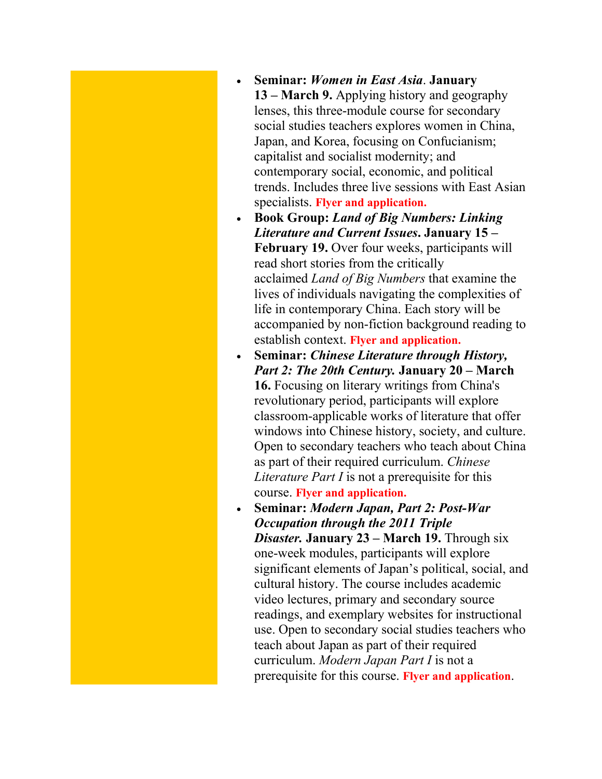- **Seminar:** *Women in East Asia*. **January 13 – March 9.** Applying history and geography lenses, this three-module course for secondary social studies teachers explores women in China, Japan, and Korea, focusing on Confucianism; capitalist and socialist modernity; and contemporary social, economic, and political trends. Includes three live sessions with East Asian specialists. **[Flyer and application.](https://www.colorado.edu/ptea/EAwomen2022)**
- **Book Group:** *Land of Big Numbers: Linking Literature and Current Issues***. January 15 – February 19.** Over four weeks, participants will read short stories from the critically acclaimed *Land of Big Numbers* that examine the lives of individuals navigating the complexities of life in contemporary China. Each story will be accompanied by non-fiction background reading to establish context. **[Flyer and application.](https://www.colorado.edu/ptea/sites/default/files/attached-files/landofbignosws2022flyer.pdf)**
- **Seminar:** *Chinese Literature through History, Part 2: The 20th Century.* **January 20 – March 16.** Focusing on literary writings from China's revolutionary period, participants will explore classroom-applicable works of literature that offer windows into Chinese history, society, and culture. Open to secondary teachers who teach about China as part of their required curriculum. *Chinese Literature Part I* is not a prerequisite for this course. **[Flyer and application.](https://www.colorado.edu/ptea/sites/default/files/attached-files/lit_hist2_courseflyer.pdf)**
- **Seminar:** *Modern Japan, Part 2: Post-War Occupation through the 2011 Triple Disaster.* **January 23 – March 19.** Through six one-week modules, participants will explore significant elements of Japan's political, social, and cultural history. The course includes academic video lectures, primary and secondary source readings, and exemplary websites for instructional use. Open to secondary social studies teachers who teach about Japan as part of their required curriculum. *Modern Japan Part I* is not a prerequisite for this course. **[Flyer and application](https://www.colorado.edu/ptea/content/modjapanws22flyer)**.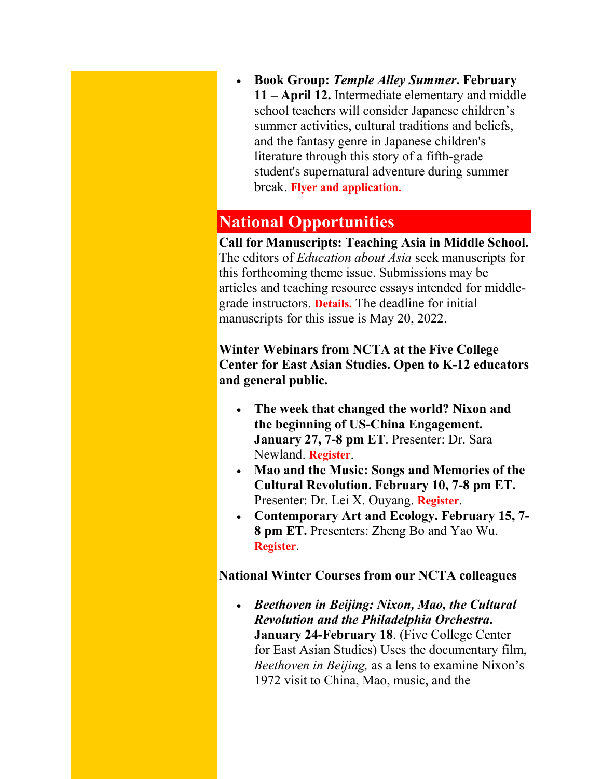• **Book Group:** *Temple Alley Summer***. February 11 – April 12.** Intermediate elementary and middle school teachers will consider Japanese children's summer activities, cultural traditions and beliefs, and the fantasy genre in Japanese children's literature through this story of a fifth-grade student's supernatural adventure during summer break. **[Flyer and application.](https://www.colorado.edu/ptea/TempleAlleySummer2022)**

### **National Opportunities**

**Call for Manuscripts: Teaching Asia in Middle School.**  The editors of *Education about Asia* seek manuscripts for this forthcoming theme issue. Submissions may be articles and teaching resource essays intended for middlegrade instructors. **[Details.](https://www.asianstudies.org/publications/eaa/scheduled-thematic-special-sections/)** The deadline for initial manuscripts for this issue is May 20, 2022.

**Winter Webinars from NCTA at the Five College Center for East Asian Studies. Open to K-12 educators and general public.**

- **The week that changed the world? Nixon and the beginning of US-China Engagement. January 27, 7-8 pm ET**. Presenter: Dr. Sara Newland. **[Register](https://attendee.gotowebinar.com/register/6759929848366817550)**.
- **Mao and the Music: Songs and Memories of the Cultural Revolution. February 10, 7-8 pm ET.** Presenter: Dr. Lei X. Ouyang. **[Register](https://attendee.gotowebinar.com/register/6780872246476241680)**.
- **Contemporary Art and Ecology. February 15, 7- 8 pm ET.** Presenters: Zheng Bo and Yao Wu. **[Register](https://us06web.zoom.us/meeting/register/tZwvdemqqT4rHtI3XgxHgTx8c61KLAnW1L2r)**.

**National Winter Courses from our NCTA colleagues**

• *Beethoven in Beijing: Nixon, Mao, the Cultural Revolution and the Philadelphia Orchestra***. January 24-February 18**. (Five College Center for East Asian Studies) Uses the documentary film, *Beethoven in Beijing,* as a lens to examine Nixon's 1972 visit to China, Mao, music, and the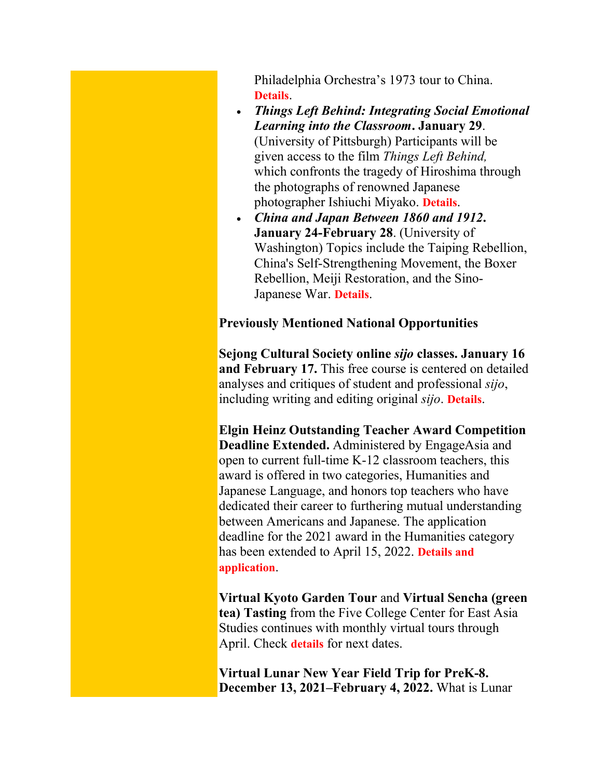Philadelphia Orchestra's 1973 tour to China. **[Details](https://docs.google.com/forms/d/19xb0Rl8uTx_8FRTriPv2JMaa35BhV9W9NyvdzCnVQT0/viewform?edit_requested=true)**.

- *Things Left Behind: Integrating Social Emotional Learning into the Classroom***. January 29**. (University of Pittsburgh) Participants will be given access to the film *Things Left Behind,*  which confronts the tragedy of Hiroshima through the photographs of renowned Japanese photographer Ishiuchi Miyako. **[Details](https://www.ucis.pitt.edu/ncta/things-left-behind-social-emotional-learning)**.
- *China and Japan Between 1860 and 1912***. January 24-February 28**. (University of Washington) Topics include the Taiping Rebellion, China's Self-Strengthening Movement, the Boxer Rebellion, Meiji Restoration, and the Sino-Japanese War. **[Details](https://jsis.washington.edu/earc/china-and-japan-between-1860-and-1912-ncta-2022-seminar/)**.

#### **Previously Mentioned National Opportunities**

**Sejong Cultural Society online** *sijo* **classes. January 16 and February 17.** This free course is centered on detailed analyses and critiques of student and professional *sijo*, including writing and editing original *sijo*. **[Details](https://www.sejongculturalsociety.org/events/sijo/online.php)**.

**Elgin Heinz Outstanding Teacher Award Competition Deadline Extended.** Administered by EngageAsia and open to current full-time K-12 classroom teachers, this award is offered in two categories, Humanities and Japanese Language, and honors top teachers who have dedicated their career to furthering mutual understanding between Americans and Japanese. The application deadline for the 2021 award in the Humanities category has been extended to April 15, 2022. **[Details and](https://www.elginheinzaward.org/)  [application](https://www.elginheinzaward.org/)**.

**Virtual Kyoto Garden Tour** and **Virtual Sencha (green tea) Tasting** from the Five College Center for East Asia Studies continues with monthly virtual tours through April. Check **[details](https://www.fivecolleges.edu/fcceas)** for next dates.

**Virtual Lunar New Year Field Trip for PreK-8. December 13, 2021–February 4, 2022.** What is Lunar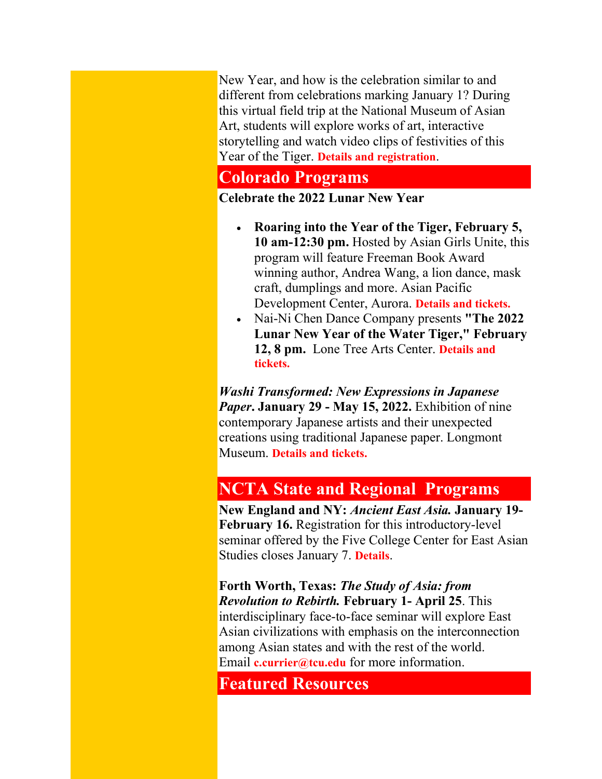New Year, and how is the celebration similar to and different from celebrations marking January 1? During this virtual field trip at the National Museum of Asian Art, students will explore works of art, interactive storytelling and watch video clips of festivities of this Year of the Tiger. **[Details and registration](https://asia.si.edu/visit/live-online-learning-programs/)**.

## **Colorado Programs**

**Celebrate the 2022 Lunar New Year**

- **Roaring into the Year of the Tiger, February 5, 10 am-12:30 pm.** Hosted by Asian Girls Unite, this program will feature Freeman Book Award winning author, Andrea Wang, a lion dance, mask craft, dumplings and more. Asian Pacific Development Center, Aurora. **[Details and tickets.](https://www.eventbrite.com/e/roaring-into-the-year-of-the-tiger-a-lunar-new-year-celebration-tickets-228362387047)**
- Nai-Ni Chen Dance Company presents **"The 2022 Lunar New Year of the Water Tiger," February 12, 8 pm.** Lone Tree Arts Center. **[Details and](https://www.lonetreeartscenter.org/showinfo.php?id=1334)  [tickets.](https://www.lonetreeartscenter.org/showinfo.php?id=1334)**

*Washi Transformed: New Expressions in Japanese Paper***. January 29 - May 15, 2022.** Exhibition of nine contemporary Japanese artists and their unexpected creations using traditional Japanese paper. Longmont Museum. **[Details and tickets.](https://www.longmontcolorado.gov/departments/departments-e-m/museum/exhibitions/washi-transformed)**

# **NCTA State and Regional Programs**

**New England and NY:** *Ancient East Asia.* **January 19- February 16.** Registration for this introductory-level seminar offered by the Five College Center for East Asian Studies closes January 7. **[Details](https://nctasia.org/course/ancient-east-asia/)**.

**Forth Worth, Texas:** *The Study of Asia: from Revolution to Rebirth.* **February 1- April 25**. This interdisciplinary face-to-face seminar will explore East Asian civilizations with emphasis on the interconnection among Asian states and with the rest of the world. Email **[c.currier@tcu.edu](mailto:c.currier@tcu.edu)** for more information.

**Featured Resources**